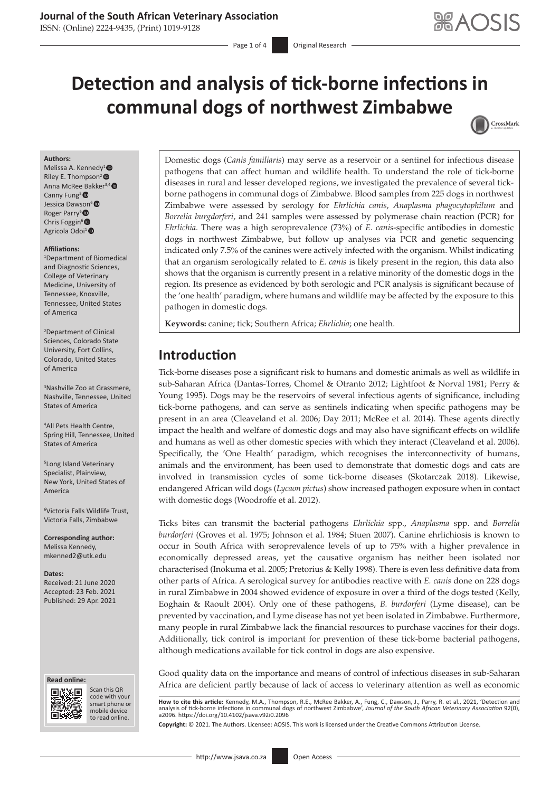## **Journal of the South African Veterinary Association**

ISSN: (Online) 2224-9435, (Print) 1019-9128

# **Detection and analysis of tick-borne infections in communal dogs of northwest Zimbabwe**



#### **Authors:**

Melissa A. Kennedy<sup>1</sup><sup>®</sup> Riley E. Thompson<sup>2</sup><sup>®</sup> Anna McRee Bakker<sup>3,4</sup><sup>®</sup> Canny Fung<sup>5</sup> ® Jessica Dawson<sup>6</sup> Roger Parry<sup>6</sup> Chris Foggin<sup>6</sup> Agricola Odoi<sup>1</sup><sup>O</sup>

#### **Affiliations:**

1 Department of Biomedical and Diagnostic Sciences, College of Veterinary Medicine, University of Tennessee, Knoxville, Tennessee, United States of America

2 Department of Clinical Sciences, Colorado State University, Fort Collins, Colorado, United States of America

3 Nashville Zoo at Grassmere, Nashville, Tennessee, United States of America

4 All Pets Health Centre, Spring Hill, Tennessee, United States of America

5 Long Island Veterinary Specialist, Plainview, New York, United States of America

6 Victoria Falls Wildlife Trust, Victoria Falls, Zimbabwe

**Corresponding author:** Melissa Kennedy, [mkenned2@utk.edu](mailto:mkenned2@utk.edu)

**Dates:** Received: 21 June 2020 Accepted: 23 Feb. 2021 Published: 29 Apr. 2021

#### **Read online: Read online:**



Scan this QR code with your Scan this QR<br>code with your<br>smart phone or<br>mobile device mobile device to read online. to read online.

Domestic dogs (*Canis familiaris*) may serve as a reservoir or a sentinel for infectious disease pathogens that can affect human and wildlife health. To understand the role of tick-borne diseases in rural and lesser developed regions, we investigated the prevalence of several tickborne pathogens in communal dogs of Zimbabwe. Blood samples from 225 dogs in northwest Zimbabwe were assessed by serology for *Ehrlichia canis*, *Anaplasma phagocytophilum* and *Borrelia burgdorferi*, and 241 samples were assessed by polymerase chain reaction (PCR) for *Ehrlichia*. There was a high seroprevalence (73%) of *E. canis*-specific antibodies in domestic dogs in northwest Zimbabwe, but follow up analyses via PCR and genetic sequencing indicated only 7.5% of the canines were actively infected with the organism. Whilst indicating that an organism serologically related to *E. canis* is likely present in the region, this data also shows that the organism is currently present in a relative minority of the domestic dogs in the region. Its presence as evidenced by both serologic and PCR analysis is significant because of the 'one health' paradigm, where humans and wildlife may be affected by the exposure to this pathogen in domestic dogs.

**Keywords:** canine; tick; Southern Africa; *Ehrlichia*; one health.

# **Introduction**

Tick-borne diseases pose a significant risk to humans and domestic animals as well as wildlife in sub-Saharan Africa (Dantas-Torres, Chomel & Otranto 2012; Lightfoot & Norval 1981; Perry & Young 1995). Dogs may be the reservoirs of several infectious agents of significance, including tick-borne pathogens, and can serve as sentinels indicating when specific pathogens may be present in an area (Cleaveland et al. 2006; Day 2011; McRee et al. 2014). These agents directly impact the health and welfare of domestic dogs and may also have significant effects on wildlife and humans as well as other domestic species with which they interact (Cleaveland et al. 2006). Specifically, the 'One Health' paradigm, which recognises the interconnectivity of humans, animals and the environment, has been used to demonstrate that domestic dogs and cats are involved in transmission cycles of some tick-borne diseases (Skotarczak 2018). Likewise, endangered African wild dogs (*Lycaon pictus*) show increased pathogen exposure when in contact with domestic dogs (Woodroffe et al. 2012).

Ticks bites can transmit the bacterial pathogens *Ehrlichia* spp., *Anaplasma* spp. and *Borrelia burdorferi* (Groves et al. 1975; Johnson et al. 1984; Stuen 2007). Canine ehrlichiosis is known to occur in South Africa with seroprevalence levels of up to 75% with a higher prevalence in economically depressed areas, yet the causative organism has neither been isolated nor characterised (Inokuma et al. 2005; Pretorius & Kelly 1998). There is even less definitive data from other parts of Africa. A serological survey for antibodies reactive with *E. canis* done on 228 dogs in rural Zimbabwe in 2004 showed evidence of exposure in over a third of the dogs tested (Kelly, Eoghain & Raoult 2004). Only one of these pathogens, *B. burdorferi* (Lyme disease), can be prevented by vaccination, and Lyme disease has not yet been isolated in Zimbabwe. Furthermore, many people in rural Zimbabwe lack the financial resources to purchase vaccines for their dogs. Additionally, tick control is important for prevention of these tick-borne bacterial pathogens, although medications available for tick control in dogs are also expensive.

Good quality data on the importance and means of control of infectious diseases in sub-Saharan Africa are deficient partly because of lack of access to veterinary attention as well as economic

**How to cite this article:** Kennedy, M.A., Thompson, R.E., McRee Bakker, A., Fung, C., Dawson, J., Parry, R. et al., 2021, 'Detection and analysis of tick-borne infections in communal dogs of northwest Zimbabwe', *Journal of the South African Veterinary Association* 92(0), a2096. <https://doi.org/10.4102/jsava.v92i0.2096>

**Copyright:** © 2021. The Authors. Licensee: AOSIS. This work is licensed under the Creative Commons Attribution License.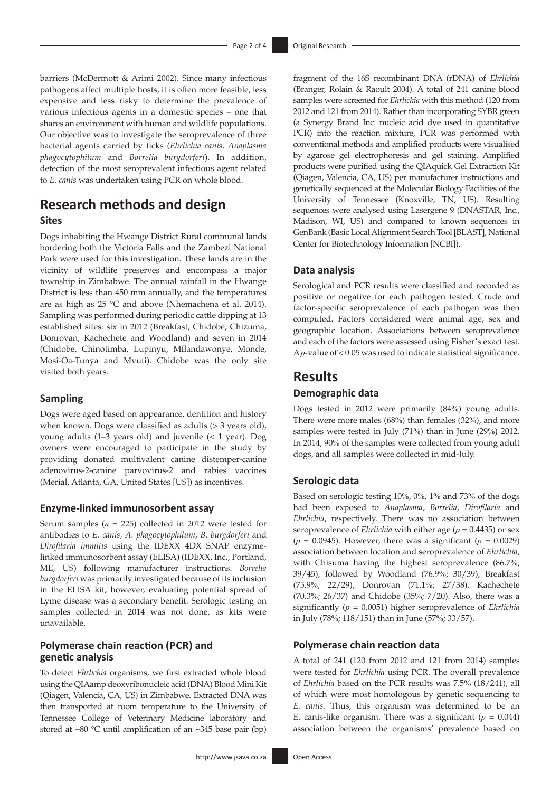barriers (McDermott & Arimi 2002). Since many infectious pathogens affect multiple hosts, it is often more feasible, less expensive and less risky to determine the prevalence of various infectious agents in a domestic species – one that shares an environment with human and wildlife populations. Our objective was to investigate the seroprevalence of three bacterial agents carried by ticks (*Ehrlichia canis, Anaplasma phagocytophilum* and *Borrelia burgdorferi*). In addition, detection of the most seroprevalent infectious agent related to *E. canis* was undertaken using PCR on whole blood.

## **Research methods and design**

## **Sites**

Dogs inhabiting the Hwange District Rural communal lands bordering both the Victoria Falls and the Zambezi National Park were used for this investigation. These lands are in the vicinity of wildlife preserves and encompass a major township in Zimbabwe. The annual rainfall in the Hwange District is less than 450 mm annually, and the temperatures are as high as 25 °C and above (Nhemachena et al. 2014). Sampling was performed during periodic cattle dipping at 13 established sites: six in 2012 (Breakfast, Chidobe, Chizuma, Donrovan, Kachechete and Woodland) and seven in 2014 (Chidobe, Chinotimba, Lupinyu, Mflandawonye, Monde, Mosi-Oa-Tunya and Mvuti). Chidobe was the only site visited both years.

#### **Sampling**

Dogs were aged based on appearance, dentition and history when known. Dogs were classified as adults (> 3 years old), young adults (1–3 years old) and juvenile (< 1 year). Dog owners were encouraged to participate in the study by providing donated multivalent canine distemper-canine adenovirus-2-canine parvovirus-2 and rabies vaccines (Merial, Atlanta, GA, United States [US]) as incentives.

#### **Enzyme-linked immunosorbent assay**

Serum samples (*n* = 225) collected in 2012 were tested for antibodies to *E. canis, A. phagocytophilum, B. burgdorferi* and *Dirofilaria immitis* using the IDEXX 4DX SNAP enzymelinked immunosorbent assay (ELISA) (IDEXX, Inc., Portland, ME, US) following manufacturer instructions. *Borrelia burgdorferi* was primarily investigated because of its inclusion in the ELISA kit; however, evaluating potential spread of Lyme disease was a secondary benefit. Serologic testing on samples collected in 2014 was not done, as kits were unavailable.

### **Polymerase chain reaction (PCR) and genetic analysis**

To detect *Ehrlichia* organisms, we first extracted whole blood using the QIAamp deoxyribonucleic acid (DNA) Blood Mini Kit (Qiagen, Valencia, CA, US) in Zimbabwe. Extracted DNA was then transported at room temperature to the University of Tennessee College of Veterinary Medicine laboratory and stored at −80 °C until amplification of an ~345 base pair (bp)

(Branger, Rolain & Raoult 2004). A total of 241 canine blood samples were screened for *Ehrlichia* with this method (120 from 2012 and 121 from 2014). Rather than incorporating SYBR green (a Synergy Brand Inc. nucleic acid dye used in quantitative PCR) into the reaction mixture, PCR was performed with conventional methods and amplified products were visualised by agarose gel electrophoresis and gel staining. Amplified products were purified using the QIAquick Gel Extraction Kit (Qiagen, Valencia, CA, US) per manufacturer instructions and genetically sequenced at the Molecular Biology Facilities of the University of Tennessee (Knoxville, TN, US). Resulting sequences were analysed using Lasergene 9 (DNASTAR, Inc., Madison, WI, US) and compared to known sequences in GenBank (Basic Local Alignment Search Tool [BLAST], National Center for Biotechnology Information [NCBI]).

fragment of the 16S recombinant DNA (rDNA) of *Ehrlichia* 

#### **Data analysis**

Serological and PCR results were classified and recorded as positive or negative for each pathogen tested. Crude and factor-specific seroprevalence of each pathogen was then computed. Factors considered were animal age, sex and geographic location. Associations between seroprevalence and each of the factors were assessed using Fisher's exact test. A *p*-value of < 0.05 was used to indicate statistical significance.

## **Results**

#### **Demographic data**

Dogs tested in 2012 were primarily (84%) young adults. There were more males (68%) than females (32%), and more samples were tested in July (71%) than in June (29%) 2012. In 2014, 90% of the samples were collected from young adult dogs, and all samples were collected in mid-July.

#### **Serologic data**

Based on serologic testing 10%, 0%, 1% and 73% of the dogs had been exposed to *Anaplasma*, *Borrelia*, *Dirofilaria* and *Ehrlichia*, respectively. There was no association between seroprevalence of *Ehrlichia* with either age (*p* = 0.4435) or sex  $(p = 0.0945)$ . However, there was a significant  $(p = 0.0029)$ association between location and seroprevalence of *Ehrlichia*, with Chisuma having the highest seroprevalence (86.7%; 39/45), followed by Woodland (76.9%; 30/39), Breakfast (75.9%; 22/29), Donrovan (71.1%; 27/38), Kachechete (70.3%; 26/37) and Chidobe (35%; 7/20). Also, there was a significantly (*p* = 0.0051) higher seroprevalence of *Ehrlichia* in July (78%; 118/151) than in June (57%; 33/57).

#### **Polymerase chain reaction data**

A total of 241 (120 from 2012 and 121 from 2014) samples were tested for *Ehrlichia* using PCR. The overall prevalence of *Ehrlichia* based on the PCR results was 7.5% (18/241), all of which were most homologous by genetic sequencing to *E. canis.* Thus, this organism was determined to be an E. canis-like organism. There was a significant  $(p = 0.044)$ association between the organisms' prevalence based on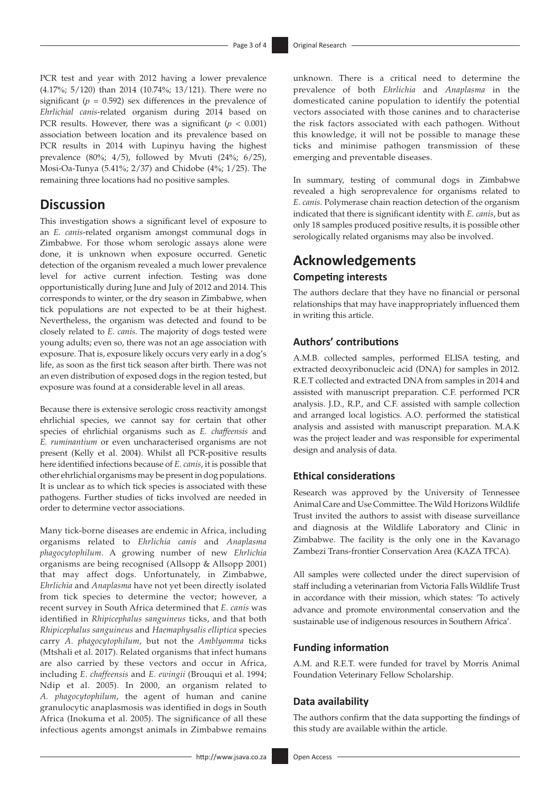PCR test and year with 2012 having a lower prevalence (4.17%; 5/120) than 2014 (10.74%; 13/121). There were no significant  $(p = 0.592)$  sex differences in the prevalence of *Ehrlichial canis*-related organism during 2014 based on PCR results. However, there was a significant  $(p < 0.001)$ association between location and its prevalence based on PCR results in 2014 with Lupinyu having the highest prevalence (80%; 4/5), followed by Mvuti (24%; 6/25), Mosi-Oa-Tunya (5.41%; 2/37) and Chidobe (4%; 1/25). The remaining three locations had no positive samples.

## **Discussion**

This investigation shows a significant level of exposure to an *E. canis*-related organism amongst communal dogs in Zimbabwe. For those whom serologic assays alone were done, it is unknown when exposure occurred. Genetic detection of the organism revealed a much lower prevalence level for active current infection. Testing was done opportunistically during June and July of 2012 and 2014. This corresponds to winter, or the dry season in Zimbabwe, when tick populations are not expected to be at their highest. Nevertheless, the organism was detected and found to be closely related to *E. canis*. The majority of dogs tested were young adults; even so, there was not an age association with exposure. That is, exposure likely occurs very early in a dog's life, as soon as the first tick season after birth. There was not an even distribution of exposed dogs in the region tested, but exposure was found at a considerable level in all areas.

Because there is extensive serologic cross reactivity amongst ehrlichial species, we cannot say for certain that other species of ehrlichial organisms such as *E. chaffeensis* and *E. ruminantium* or even uncharacterised organisms are not present (Kelly et al. 2004). Whilst all PCR-positive results here identified infections because of *E. canis*, it is possible that other ehrlichial organisms may be present in dog populations. It is unclear as to which tick species is associated with these pathogens. Further studies of ticks involved are needed in order to determine vector associations.

Many tick-borne diseases are endemic in Africa, including organisms related to *Ehrlichia canis* and *Anaplasma phagocytophilum*. A growing number of new *Ehrlichia*  organisms are being recognised (Allsopp & Allsopp 2001) that may affect dogs. Unfortunately, in Zimbabwe, *Ehrlichia* and *Anaplasma* have not yet been directly isolated from tick species to determine the vector; however, a recent survey in South Africa determined that *E. canis* was identified in *Rhipicephalus sanguineus* ticks, and that both *Rhipicephalus sanguineus* and *Haemaphysalis elliptica* species carry *A. phagocytophilum*, but not the *Amblyomma* ticks (Mtshali et al. 2017). Related organisms that infect humans are also carried by these vectors and occur in Africa, including *E. chaffeensis* and *E. ewingii* (Brouqui et al. 1994; Ndip et al. 2005). In 2000, an organism related to *A. phagocytophilum*, the agent of human and canine granulocytic anaplasmosis was identified in dogs in South Africa (Inokuma et al. 2005). The significance of all these infectious agents amongst animals in Zimbabwe remains

unknown. There is a critical need to determine the prevalence of both *Ehrlichia* and *Anaplasma* in the domesticated canine population to identify the potential vectors associated with those canines and to characterise the risk factors associated with each pathogen. Without this knowledge, it will not be possible to manage these ticks and minimise pathogen transmission of these emerging and preventable diseases.

In summary, testing of communal dogs in Zimbabwe revealed a high seroprevalence for organisms related to *E. canis*. Polymerase chain reaction detection of the organism indicated that there is significant identity with *E. canis*, but as only 18 samples produced positive results, it is possible other serologically related organisms may also be involved.

# **Acknowledgements Competing interests**

The authors declare that they have no financial or personal relationships that may have inappropriately influenced them in writing this article.

### **Authors' contributions**

A.M.B. collected samples, performed ELISA testing, and extracted deoxyribonucleic acid (DNA) for samples in 2012. R.E.T collected and extracted DNA from samples in 2014 and assisted with manuscript preparation. C.F. performed PCR analysis. J.D., R.P., and C.F. assisted with sample collection and arranged local logistics. A.O. performed the statistical analysis and assisted with manuscript preparation. M.A.K was the project leader and was responsible for experimental design and analysis of data.

#### **Ethical considerations**

Research was approved by the University of Tennessee Animal Care and Use Committee. The Wild Horizons Wildlife Trust invited the authors to assist with disease surveillance and diagnosis at the Wildlife Laboratory and Clinic in Zimbabwe. The facility is the only one in the Kavanago Zambezi Trans-frontier Conservation Area (KAZA TFCA).

All samples were collected under the direct supervision of staff including a veterinarian from Victoria Falls Wildlife Trust in accordance with their mission, which states: 'To actively advance and promote environmental conservation and the sustainable use of indigenous resources in Southern Africa'.

#### **Funding information**

A.M. and R.E.T. were funded for travel by Morris Animal Foundation Veterinary Fellow Scholarship.

#### **Data availability**

The authors confirm that the data supporting the findings of this study are available within the article.